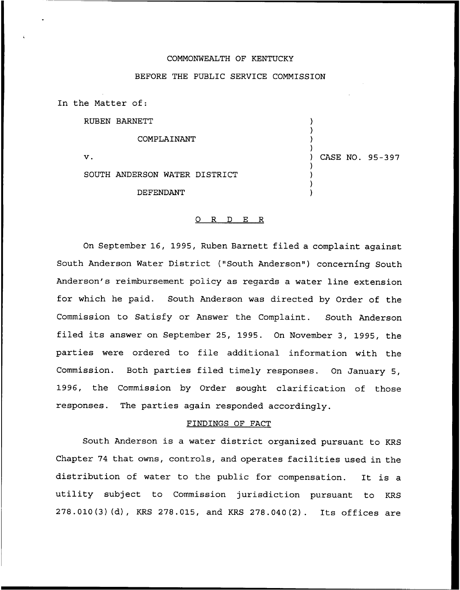## COMMONWEALTH OF KENTUCKY

## BEFORE THE PUBLIC SERVICE COMMISSION

) ) ) )

) ) ) )

) CASE NO. 95-397

In the Matter of:

RUBEN BARNETT

COMPLAINANT

V.

SOUTH ANDERSON WATER DISTRICT

DEFENDANT

#### 0 R <sup>D</sup> E R

On September 16, 1995, Ruben Barnett filed a complaint against South Anderson Water District ("South Anderson") concerning South Anderson's reimbursement policy as regards a water line extension for which he paid. South Anderson was directed by Order of the Commission to Satisfy or Answer the Complaint. South Anderson filed its answer on September 25, 1995. On November 3, 1995, the parties were ordered to file additional information with the Commission. Both parties filed timely responses. On January 5, 1996, the Commission by Order sought clarification of those responses. The parties again responded accordingly.

### FINDINGS OF FACT

South Anderson is a water district organized pursuant to KRS Chapter <sup>74</sup> that owns, controls, and operates facilities used in the distribution of water to the public for compensation. It is <sup>a</sup> utility subject to Commission jurisdiction pursuant to KRS 278.010(3)(d), KRS 278.015, and KRS 278.040(2). Its offices are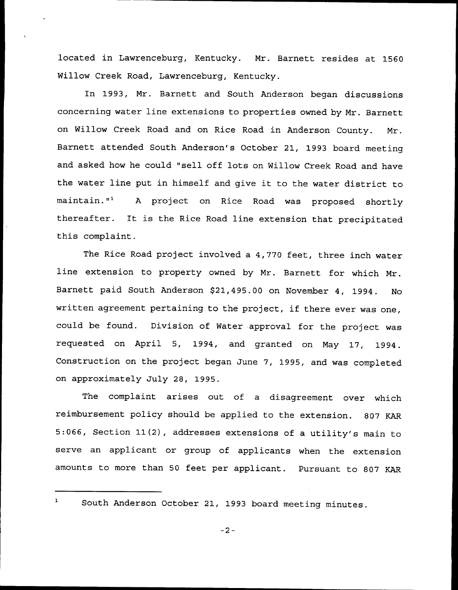located in Lawrenceburg, Kentucky. Mr. Barnett resides at 1560 Willow Creek Road, Lawrenceburg, Kentucky.

In 1993, Mr. Barnett and South Anderson began discussions concerning water line extensions to properties owned by Mr. Barnett on Willow Creek Road and on Rice Road in Anderson County. Mr. Barnett attended South Anderson's October 21, 1993 board meeting and asked how he could "sell off lots on Willow Creek Road and have the water line put in himself and give it to the water district to maintain."<sup>1</sup> A project on Rice Road was proposed shortly thereafter. It is the Rice Road line extension that precipitated this complaint.

The Rice Road project involved a 4,770 feet, three inch water line extension to property owned by Mr. Barnett for which Mr. Barnett paid South Anderson \$21,495.00 on November 4, 1994. No written agreement pertaining to the project, if there ever was one, could be found. Division of Water approval for the project was requested on April 5, 1994, and granted on May 17, 1994. Construction on the project began June 7, 1995, and was completed on approximately July 28, 1995.

The complaint arises out of a disagreement over which reimbursement policy should be applied to the extension. 807 KAR 5:066, Section 11(2), addresses extensions of <sup>a</sup> utility's main to serve an applicant or group of applicants when the extension amounts to more than <sup>50</sup> feet per applicant. Pursuant to 807 KAR

 $\mathbf 1$ 

South Anderson October 21, 1993 board meeting minutes.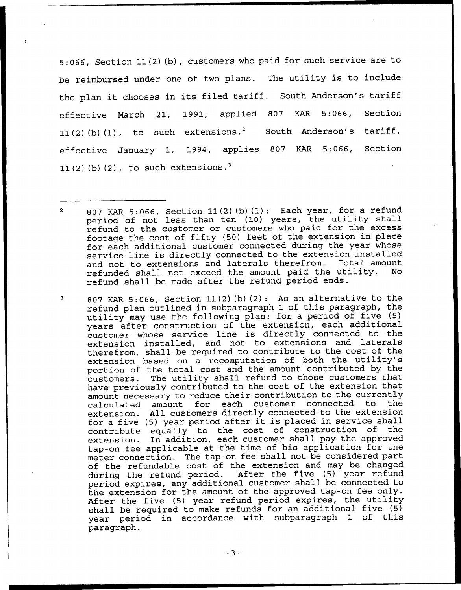5:066, Section 11(2) (b), customers who paid for such service are to be reimbursed under one of two plans. The utility is to include the plan it chooses in its filed tariff. South Anderson's tariff effective March 21, 1991, applied 807 KAR 5:066, Section 11(2)(b)(1), to such extensions.<sup>2</sup> South Anderson's tariff, effective January 1, 1994, applies <sup>807</sup> KAR 5:066, Section 11(2)(b)(2), to such extensions.<sup>3</sup>

807 KAR 5:066, Section 11(2) (b)(2): As an alternative to the refund plan outlined in subparagraph 1 of this paragraph, the utility may use the following plan: for a period of five (5) years after construction of the extension, each additional customer whose service line is directly connected to the extension installed, and not to extensions and laterals therefrom, shall be required to contribute to the cost of the extension based on <sup>a</sup> recomputation of both the utility's portion of the total cost and the amount contributed by the customers. The utility shall refund to those customers that have previously contributed to the cost of the extension that amount necessary to reduce their contribution to the currently<br>calculated amount for each customer connected to the calculated amount for each customer connected to extension. All customers directly connected to the extension for <sup>a</sup> five {5) year period after it is placed in service shall contribute equally to the cost of construction of the extension. In addition, each customer shall pay the approved tap-on fee applicable at the time of his application for the meter connection. The tap-on fee shall not be considered part of the refundable cost of the extension and may be changed<br>during the refund period. After the five (5) year refund during the refund period. period expires, any additional customer shall be connected to the extension for the amount of the approved tap-on fee only. After the five (5) year refund period expires, the utility shall be required to make refunds for an additional five (5) year period in accordance with subparagraph 1 of this paragraph.

 $\overline{2}$ KAR 5:066, Section 11(2) (b) {1): Each year, for <sup>a</sup> refund period of not less than ten (10) years, the utility shall refund to the customer or customers who paid for the excess footage the cost of fifty (50) feet of the extension in place for each additional customer connected during the year whose service line is directly connected to the extension installed and not to extensions and laterals therefrom. Total amount<br>refunded shall not exceed the amount paid the utility. No refunded shall not exceed the amount paid the utility. refund shall be made after the refund period ends.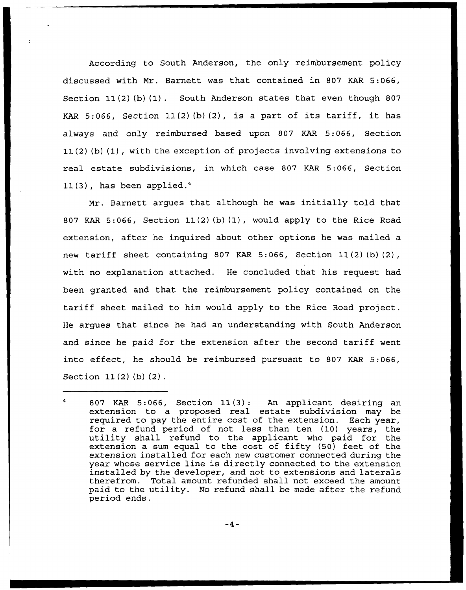According to South Anderson, the only reimbursement policy discussed with Mr. Barnett was that contained in 807 KAR 5:066, Section  $11(2)$  (b)  $(1)$ . South Anderson states that even though 807 KAR 5:066, Section  $11(2)(b)(2)$ , is a part of its tariff, it has always and only reimbursed based upon 807 KAR 5:066, Section 11(2) (b) (1},with the exception of projects involving extensions to real estate subdivisions, in which case 807 KAR 5:066, Section  $11(3)$ , has been applied.<sup>4</sup>

Mr. Barnett arques that although he was initially told that 807 KAR 5:066, Section 11{2)(b) (1), would apply to the Rice Road extension, after he inquired about other options he was mailed a new tariff sheet containing 807 KAR 5:066, Section 11(2) (b) (2), with no explanation attached. He concluded that his request had been granted and that the reimbursement policy contained on the tariff sheet mailed to him would apply to the Rice Road project. He argues that since he had an understanding with South Anderson and since he paid for the extension after the second tariff went into effect, he should be reimbursed pursuant to 807 KAR 5:066, Section 11(2) (b) (2) .

 $\overline{4}$ 807 KAR 5:066, Section 11(3): An applicant desiring an extension to a proposed real estate subdivision may be required to pay the entire cost of the extension. Each year, for <sup>a</sup> refund period of not less than ten (10) years, the utility shall refund to the applicant who paid for the extension a sum equal to the cost of fifty (50) feet of the extension installed for each new customer connected during the year whose service line is directly connected to the extension installed by the developer, and not to extensions and laterals therefrom. Total amount refunded shall not exceed the amount paid to the utility. No refund shall be made after the refund period ends.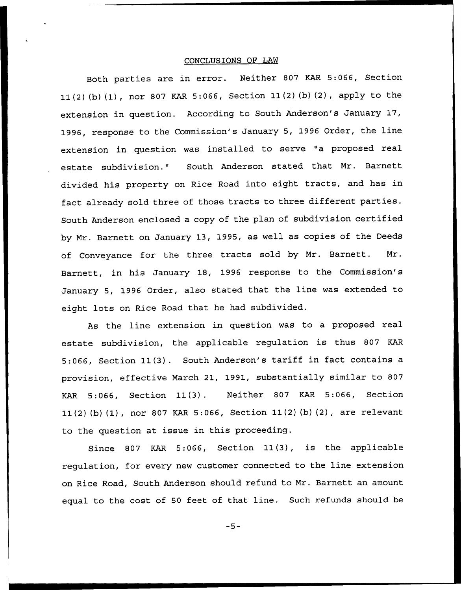# CONCLUSIONS OF LAW

Both parties are in error. Neither 807 KAR 5:066, Section 11(2) (b) (1), nor <sup>807</sup> KAR 5:066, Section 11(2) (b) (2), apply to the extension in question. According to South Anderson's January 17, 1996, response to the Commission's January 5, 1996 Order, the line extension in question was installed to serve "a proposed real estate subdivision." South Anderson stated that Mr. Barnett divided his property on Rice Road into eight tracts, and has in fact already sold three of those tracts to three different parties. South Anderson enclosed <sup>a</sup> copy of the plan of subdivision certified by Mr. Barnett on January 13, 1995, as well as copies of the Deeds of Conveyance for the three tracts sold by Mr. Barnett. Mr. Barnett, in his January 18, 1996 response to the Commission's January 5, 1996 Order, also stated that the line was extended to eight lots on Rice Road that he had subdivided.

As the line extension in question was to a proposed real estate subdivision, the applicable regulation is thus <sup>807</sup> KAR 5:066, Section 11(3). South Anderson's tariff in fact contains <sup>a</sup> provision, effective March 21, 1991, substantially similar to 807 KAR 5:066, Section 11(3). Neither 807 KAR 5:066, Section 11(2) (b) (1), nor 807 KAR 5:066, Section 11(2)(b) (2), are relevant to the question at issue in this proceeding.

Since 807 KAR 5:066, Section 11(3), is the applicable regulation, for every new customer connected to the line extension on Rice Road, South Anderson should refund to Mr. Barnett an amount equal to the cost of <sup>50</sup> feet of that line. Such refunds should be

 $-5-$